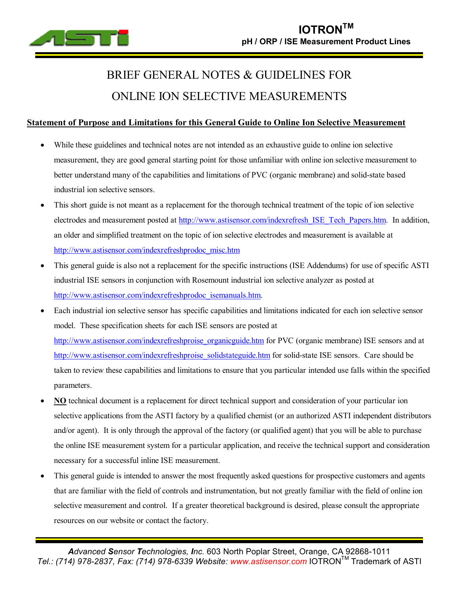

# BRIEF GENERAL NOTES & GUIDELINES FOR ONLINE ION SELECTIVE MEASUREMENTS

## **Statement of Purpose and Limitations for this General Guide to Online Ion Selective Measurement**

- While these guidelines and technical notes are not intended as an exhaustive guide to online ion selective measurement, they are good general starting point for those unfamiliar with online ion selective measurement to better understand many of the capabilities and limitations of PVC (organic membrane) and solid-state based industrial ion selective sensors.
- This short guide is not meant as a replacement for the thorough technical treatment of the topic of ion selective electrodes and measurement posted at [http://www.astisensor.com/indexrefresh\\_ISE\\_Tech\\_Papers.htm.](http://www.astisensor.com/indexrefresh_ISE_Tech_Papers.htm) In addition, an older and simplified treatment on the topic of ion selective electrodes and measurement is available at [http://www.astisensor.com/indexrefreshprodoc\\_misc.htm](http://www.astisensor.com/indexrefreshprodoc_misc.htm)
- · This general guide is also not a replacement for the specific instructions (ISE Addendums) for use of specific ASTI industrial ISE sensors in conjunction with Rosemount industrial ion selective analyzer as posted at [http://www.astisensor.com/indexrefreshprodoc\\_isemanuals.htm.](http://www.astisensor.com/indexrefreshprodoc_isemanuals.htm)
- Each industrial ion selective sensor has specific capabilities and limitations indicated for each ion selective sensor model. These specification sheets for each ISE sensors are posted at [http://www.astisensor.com/indexrefreshproise\\_organicguide.htm](http://www.astisensor.com/indexrefreshproise_organicguide.htm) for PVC (organic membrane) ISE sensors and at [http://www.astisensor.com/indexrefreshproise\\_solidstateguide.htm](http://www.astisensor.com/indexrefreshproise_solidstateguide.htm) for solid-state ISE sensors. Care should be taken to review these capabilities and limitations to ensure that you particular intended use falls within the specified parameters.
- · **NO** technical document is a replacement for direct technical support and consideration of your particular ion selective applications from the ASTI factory by a qualified chemist (or an authorized ASTI independent distributors and/or agent). It is only through the approval of the factory (or qualified agent) that you will be able to purchase the online ISE measurement system for a particular application, and receive the technical support and consideration necessary for a successful inline ISE measurement.
- This general guide is intended to answer the most frequently asked questions for prospective customers and agents that are familiar with the field of controls and instrumentation, but not greatly familiar with the field of online ion selective measurement and control. If a greater theoretical background is desired, please consult the appropriate resources on our website or contact the factory.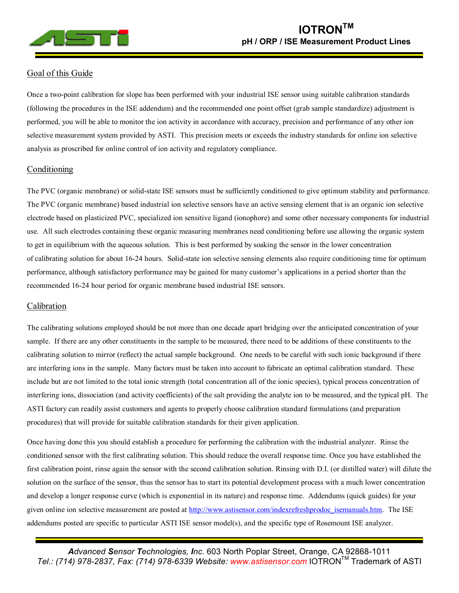

## Goal of this Guide

Once a two-point calibration for slope has been performed with your industrial ISE sensor using suitable calibration standards (following the procedures in the ISE addendum) and the recommended one point offset (grab sample standardize) adjustment is performed, you will be able to monitor the ion activity in accordance with accuracy, precision and performance of any other ion selective measurement system provided by ASTI. This precision meets or exceeds the industry standards for online ion selective analysis as proscribed for online control of ion activity and regulatory compliance.

### Conditioning

The PVC (organic membrane) or solid-state ISE sensors must be sufficiently conditioned to give optimum stability and performance. The PVC (organic membrane) based industrial ion selective sensors have an active sensing element that is an organic ion selective electrode based on plasticized PVC, specialized ion sensitive ligand (ionophore) and some other necessary components for industrial use. All such electrodes containing these organic measuring membranes need conditioning before use allowing the organic system to get in equilibrium with the aqueous solution. This is best performed by soaking the sensor in the lower concentration of calibrating solution for about 16-24 hours. Solid-state ion selective sensing elements also require conditioning time for optimum performance, although satisfactory performance may be gained for many customer's applications in a period shorter than the recommended 16-24 hour period for organic membrane based industrial ISE sensors.

#### Calibration

The calibrating solutions employed should be not more than one decade apart bridging over the anticipated concentration of your sample. If there are any other constituents in the sample to be measured, there need to be additions of these constituents to the calibrating solution to mirror (reflect) the actual sample background. One needs to be careful with such ionic background if there are interfering ions in the sample. Many factors must be taken into account to fabricate an optimal calibration standard. These include but are not limited to the total ionic strength (total concentration all of the ionic species), typical process concentration of interfering ions, dissociation (and activity coefficients) of the salt providing the analyte ion to be measured, and the typical pH. The ASTI factory can readily assist customers and agents to properly choose calibration standard formulations (and preparation procedures) that will provide for suitable calibration standards for their given application.

Once having done this you should establish a procedure for performing the calibration with the industrial analyzer. Rinse the conditioned sensor with the first calibrating solution. This should reduce the overall response time. Once you have established the first calibration point, rinse again the sensor with the second calibration solution. Rinsing with D.I. (or distilled water) will dilute the solution on the surface of the sensor, thus the sensor has to start its potential development process with a much lower concentration and develop a longer response curve (which is exponential in its nature) and response time. Addendums (quick guides) for your given online ion selective measurement are posted at [http://www.astisensor.com/indexrefreshprodoc\\_isemanuals.htm.](http://www.astisensor.com/indexrefreshprodoc_isemanuals.htm) The ISE addendums posted are specific to particular ASTI ISE sensor model(s), and the specific type of Rosemount ISE analyzer.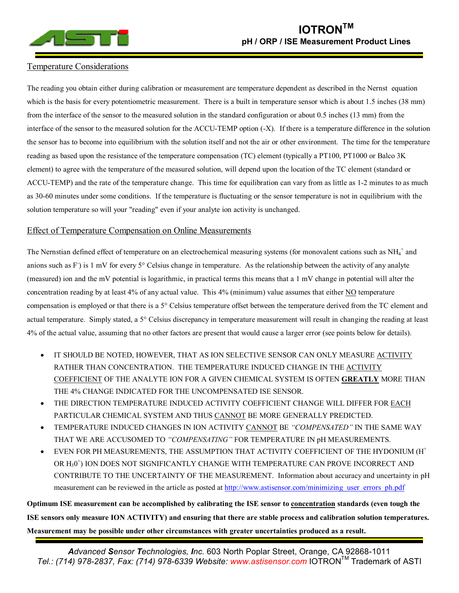

## Temperature Considerations

The reading you obtain either during calibration or measurement are temperature dependent as described in the Nernst equation which is the basis for every potentiometric measurement. There is a built in temperature sensor which is about 1.5 inches (38 mm) from the interface of the sensor to the measured solution in the standard configuration or about 0.5 inches (13 mm) from the interface of the sensor to the measured solution for the ACCU-TEMP option (-X). If there is a temperature difference in the solution the sensor has to become into equilibrium with the solution itself and not the air or other environment. The time for the temperature reading as based upon the resistance of the temperature compensation (TC) element (typically a PT100, PT1000 or Balco 3K element) to agree with the temperature of the measured solution, will depend upon the location of the TC element (standard or ACCU-TEMP) and the rate of the temperature change. This time for equilibration can vary from as little as 1-2 minutes to as much as 30-60 minutes under some conditions. If the temperature is fluctuating or the sensor temperature is not in equilibrium with the solution temperature so will your "reading" even if your analyte ion activity is unchanged.

#### Effect of Temperature Compensation on Online Measurements

The Nernstian defined effect of temperature on an electrochemical measuring systems (for monovalent cations such as  $NH_4^+$  and anions such as F) is 1 mV for every 5° Celsius change in temperature. As the relationship between the activity of any analyte (measured) ion and the mV potential is logarithmic, in practical terms this means that a 1 mV change in potential will alter the concentration reading by at least 4% of any actual value. This 4% (minimum) value assumes that either NO temperature compensation is employed or that there is a 5° Celsius temperature offset between the temperature derived from the TC element and actual temperature. Simply stated, a 5° Celsius discrepancy in temperature measurement will result in changing the reading at least 4% of the actual value, assuming that no other factors are present that would cause a larger error (see points below for details).

- IT SHOULD BE NOTED, HOWEVER, THAT AS ION SELECTIVE SENSOR CAN ONLY MEASURE ACTIVITY RATHER THAN CONCENTRATION. THE TEMPERATURE INDUCED CHANGE IN THE ACTIVITY COEFFICIENT OF THE ANALYTE ION FOR A GIVEN CHEMICAL SYSTEM IS OFTEN **GREATLY** MORE THAN THE 4% CHANGE INDICATED FOR THE UNCOMPENSATED ISE SENSOR.
- THE DIRECTION TEMPERATURE INDUCED ACTIVITY COEFFICIENT CHANGE WILL DIFFER FOR EACH PARTICULAR CHEMICAL SYSTEM AND THUS CANNOT BE MORE GENERALLY PREDICTED.
- · TEMPERATURE INDUCED CHANGES IN ION ACTIVITY CANNOT BE *³COMPENSATED´* IN THE SAME WAY THAT WE ARE ACCUSOMED TO "COMPENSATING" FOR TEMPERATURE IN pH MEASUREMENTS.
- EVEN FOR PH MEASUREMENTS, THE ASSUMPTION THAT ACTIVITY COEFFICIENT OF THE HYDONIUM  $(H<sup>+</sup>$ OR H<sub>3</sub>0<sup>+</sup>) ION DOES NOT SIGNIFICANTLY CHANGE WITH TEMPERATURE CAN PROVE INCORRECT AND CONTRIBUTE TO THE UNCERTAINTY OF THE MEASUREMENT. Information about accuracy and uncertainty in pH measurement can be reviewed in the article as posted at [http://www.astisensor.com/minimizing\\_user\\_errors\\_ph.pdf](http://www.astisensor.com/minimizing_user_errors_ph.pdf)

**Optimum ISE measurement can be accomplished by calibrating the ISE sensor to concentration standards (even tough the ISE sensors only measure ION ACTIVITY) and ensuring that there are stable process and calibration solution temperatures. Measurement may be possible under other circumstances with greater uncertainties produced as a result.**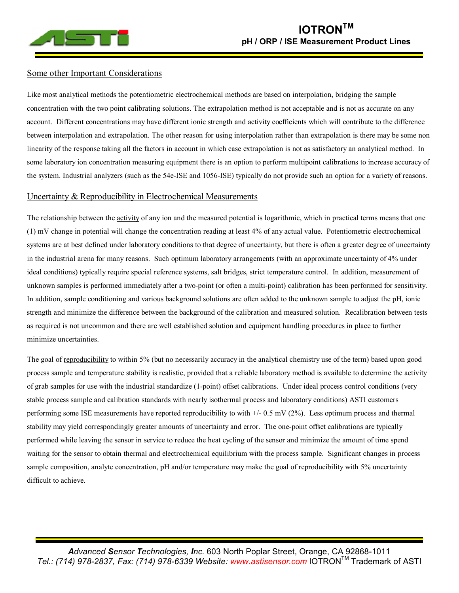

#### Some other Important Considerations

Like most analytical methods the potentiometric electrochemical methods are based on interpolation, bridging the sample concentration with the two point calibrating solutions. The extrapolation method is not acceptable and is not as accurate on any account. Different concentrations may have different ionic strength and activity coefficients which will contribute to the difference between interpolation and extrapolation. The other reason for using interpolation rather than extrapolation is there may be some non linearity of the response taking all the factors in account in which case extrapolation is not as satisfactory an analytical method. In some laboratory ion concentration measuring equipment there is an option to perform multipoint calibrations to increase accuracy of the system. Industrial analyzers (such as the 54e-ISE and 1056-ISE) typically do not provide such an option for a variety of reasons.

#### Uncertainty & Reproducibility in Electrochemical Measurements

The relationship between the activity of any ion and the measured potential is logarithmic, which in practical terms means that one (1) mV change in potential will change the concentration reading at least 4% of any actual value. Potentiometric electrochemical systems are at best defined under laboratory conditions to that degree of uncertainty, but there is often a greater degree of uncertainty in the industrial arena for many reasons. Such optimum laboratory arrangements (with an approximate uncertainty of 4% under ideal conditions) typically require special reference systems, salt bridges, strict temperature control. In addition, measurement of unknown samples is performed immediately after a two-point (or often a multi-point) calibration has been performed for sensitivity. In addition, sample conditioning and various background solutions are often added to the unknown sample to adjust the pH, ionic strength and minimize the difference between the background of the calibration and measured solution. Recalibration between tests as required is not uncommon and there are well established solution and equipment handling procedures in place to further minimize uncertainties.

The goal of reproducibility to within 5% (but no necessarily accuracy in the analytical chemistry use of the term) based upon good process sample and temperature stability is realistic, provided that a reliable laboratory method is available to determine the activity of grab samples for use with the industrial standardize (1-point) offset calibrations. Under ideal process control conditions (very stable process sample and calibration standards with nearly isothermal process and laboratory conditions) ASTI customers performing some ISE measurements have reported reproducibility to with  $+/-0.5$  mV (2%). Less optimum process and thermal stability may yield correspondingly greater amounts of uncertainty and error. The one-point offset calibrations are typically performed while leaving the sensor in service to reduce the heat cycling of the sensor and minimize the amount of time spend waiting for the sensor to obtain thermal and electrochemical equilibrium with the process sample. Significant changes in process sample composition, analyte concentration, pH and/or temperature may make the goal of reproducibility with 5% uncertainty difficult to achieve.